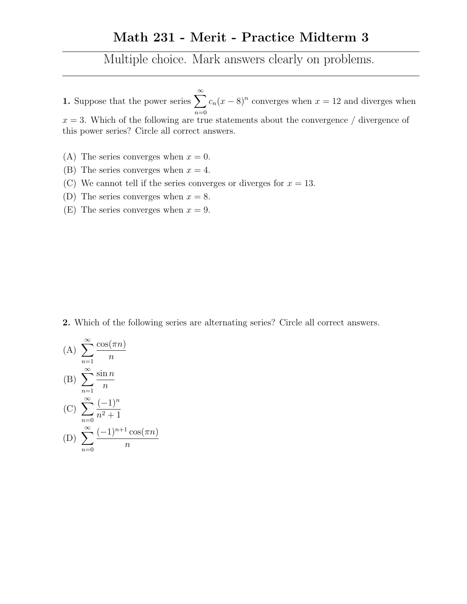## Math 231 - Merit - Practice Midterm 3

Multiple choice. Mark answers clearly on problems.

1. Suppose that the power series  $\sum_{n=1}^{\infty}$  $n=0$  $c_n(x-8)^n$  converges when  $x=12$  and diverges when  $x = 3$ . Which of the following are true statements about the convergence / divergence of this power series? Circle all correct answers.

- (A) The series converges when  $x = 0$ .
- (B) The series converges when  $x = 4$ .
- (C) We cannot tell if the series converges or diverges for  $x = 13$ .
- (D) The series converges when  $x = 8$ .
- (E) The series converges when  $x = 9$ .

2. Which of the following series are alternating series? Circle all correct answers.

(A) 
$$
\sum_{n=1}^{\infty} \frac{\cos(\pi n)}{n}
$$
  
\n(B) 
$$
\sum_{n=1}^{\infty} \frac{\sin n}{n}
$$
  
\n(C) 
$$
\sum_{n=0}^{\infty} \frac{(-1)^n}{n^2 + 1}
$$
  
\n(D) 
$$
\sum_{n=0}^{\infty} \frac{(-1)^{n+1} \cos(\pi n)}{n}
$$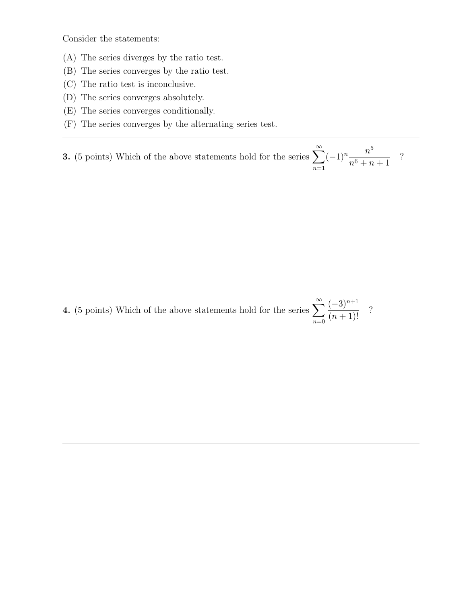Consider the statements:

- (A) The series diverges by the ratio test.
- (B) The series converges by the ratio test.
- (C) The ratio test is inconclusive.
- (D) The series converges absolutely.
- (E) The series converges conditionally.
- (F) The series converges by the alternating series test.

**3.** (5 points) Which of the above statements hold for the series  $\sum_{n=1}^{\infty}$  $n=1$  $(-1)^n \frac{n^5}{6}$  $n^6 + n + 1$ ?

4. (5 points) Which of the above statements hold for the series  $\sum_{n=1}^{\infty}$  $n=0$  $(-3)^{n+1}$  $\frac{(0)}{(n+1)!}$  ?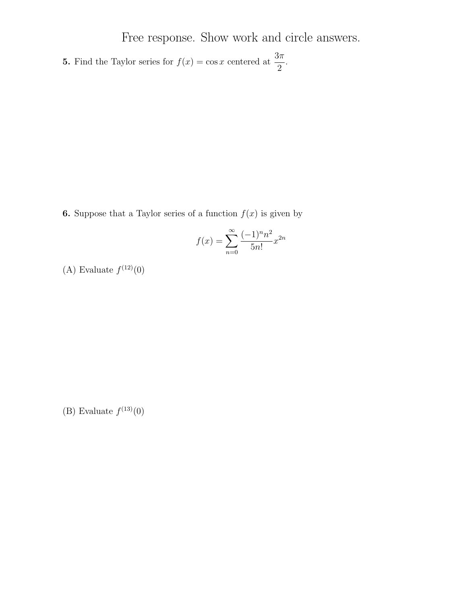Free response. Show work and circle answers.

**5.** Find the Taylor series for  $f(x) = \cos x$  centered at  $\frac{3\pi}{2}$ 2 .

**6.** Suppose that a Taylor series of a function  $f(x)$  is given by

$$
f(x) = \sum_{n=0}^{\infty} \frac{(-1)^n n^2}{5n!} x^{2n}
$$

(A) Evaluate  $f^{(12)}(0)$ 

(B) Evaluate  $f^{(13)}(0)$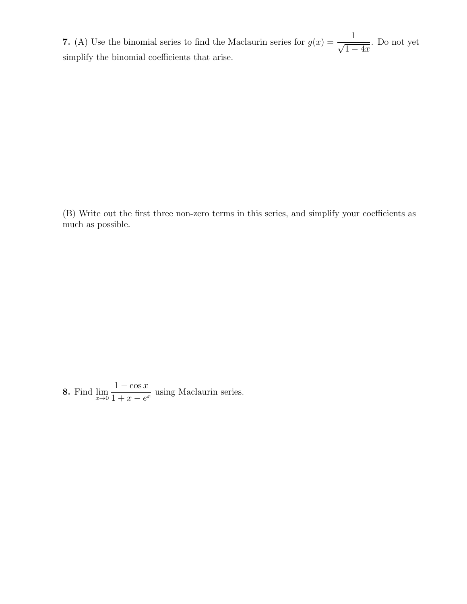7. (A) Use the binomial series to find the Maclaurin series for  $g(x) = \frac{1}{\sqrt{x}}$  $\overline{1-4x}$ . Do not yet simplify the binomial coefficients that arise.

(B) Write out the first three non-zero terms in this series, and simplify your coefficients as much as possible.

8. Find  $\lim_{x\to 0}$  $1 - \cos x$  $\frac{1}{1+x-e^x}$  using Maclaurin series.